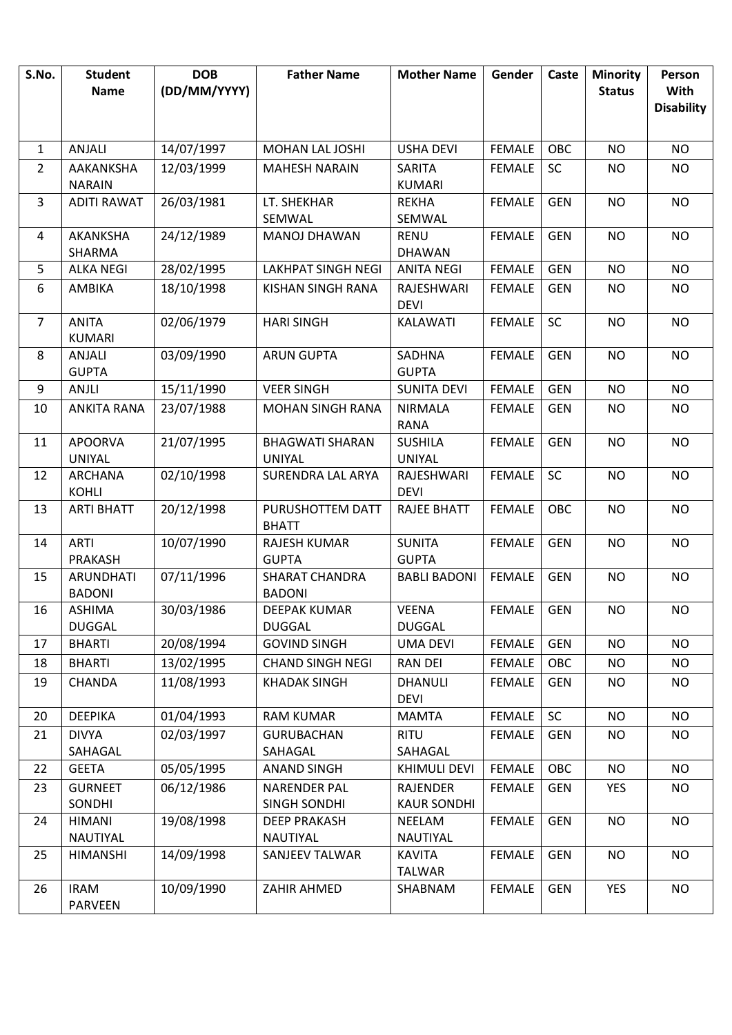| S.No.          | <b>Student</b>                 | <b>DOB</b>   | <b>Father Name</b>                         | <b>Mother Name</b>                    | Gender        | Caste      | <b>Minority</b> | Person                           |
|----------------|--------------------------------|--------------|--------------------------------------------|---------------------------------------|---------------|------------|-----------------|----------------------------------|
|                | <b>Name</b>                    | (DD/MM/YYYY) |                                            |                                       |               |            | <b>Status</b>   | <b>With</b><br><b>Disability</b> |
|                |                                |              |                                            |                                       |               |            |                 |                                  |
| $\mathbf{1}$   | ANJALI                         | 14/07/1997   | MOHAN LAL JOSHI                            | <b>USHA DEVI</b>                      | <b>FEMALE</b> | OBC        | <b>NO</b>       | <b>NO</b>                        |
| $\overline{2}$ | AAKANKSHA                      | 12/03/1999   | <b>MAHESH NARAIN</b>                       | SARITA                                | <b>FEMALE</b> | <b>SC</b>  | <b>NO</b>       | <b>NO</b>                        |
|                | <b>NARAIN</b>                  |              |                                            | <b>KUMARI</b>                         |               |            |                 |                                  |
| 3              | <b>ADITI RAWAT</b>             | 26/03/1981   | LT. SHEKHAR                                | <b>REKHA</b>                          | <b>FEMALE</b> | <b>GEN</b> | <b>NO</b>       | <b>NO</b>                        |
|                |                                |              | SEMWAL                                     | SEMWAL                                |               |            |                 |                                  |
| 4              | AKANKSHA<br>SHARMA             | 24/12/1989   | <b>MANOJ DHAWAN</b>                        | <b>RENU</b><br><b>DHAWAN</b>          | <b>FEMALE</b> | <b>GEN</b> | <b>NO</b>       | <b>NO</b>                        |
| 5              | <b>ALKA NEGI</b>               | 28/02/1995   | <b>LAKHPAT SINGH NEGI</b>                  | <b>ANITA NEGI</b>                     | <b>FEMALE</b> | <b>GEN</b> | <b>NO</b>       | <b>NO</b>                        |
| 6              | AMBIKA                         | 18/10/1998   | KISHAN SINGH RANA                          | RAJESHWARI                            | <b>FEMALE</b> | <b>GEN</b> | <b>NO</b>       | <b>NO</b>                        |
|                |                                |              |                                            | <b>DEVI</b>                           |               |            |                 |                                  |
| $\overline{7}$ | <b>ANITA</b>                   | 02/06/1979   | <b>HARI SINGH</b>                          | KALAWATI                              | <b>FEMALE</b> | SC         | <b>NO</b>       | <b>NO</b>                        |
|                | <b>KUMARI</b>                  |              |                                            |                                       |               |            |                 |                                  |
| 8              | <b>ANJALI</b>                  | 03/09/1990   | <b>ARUN GUPTA</b>                          | <b>SADHNA</b><br><b>GUPTA</b>         | <b>FEMALE</b> | <b>GEN</b> | <b>NO</b>       | <b>NO</b>                        |
| 9              | <b>GUPTA</b><br>ANJLI          | 15/11/1990   | <b>VEER SINGH</b>                          | <b>SUNITA DEVI</b>                    | <b>FEMALE</b> | <b>GEN</b> | <b>NO</b>       | <b>NO</b>                        |
| 10             | <b>ANKITA RANA</b>             | 23/07/1988   | <b>MOHAN SINGH RANA</b>                    | <b>NIRMALA</b>                        | <b>FEMALE</b> | <b>GEN</b> | <b>NO</b>       | <b>NO</b>                        |
|                |                                |              |                                            | <b>RANA</b>                           |               |            |                 |                                  |
| 11             | <b>APOORVA</b>                 | 21/07/1995   | <b>BHAGWATI SHARAN</b>                     | <b>SUSHILA</b>                        | <b>FEMALE</b> | <b>GEN</b> | <b>NO</b>       | <b>NO</b>                        |
|                | <b>UNIYAL</b>                  |              | UNIYAL                                     | <b>UNIYAL</b>                         |               |            |                 |                                  |
| 12             | <b>ARCHANA</b>                 | 02/10/1998   | <b>SURENDRA LAL ARYA</b>                   | RAJESHWARI                            | <b>FEMALE</b> | SC         | <b>NO</b>       | <b>NO</b>                        |
|                | <b>KOHLI</b>                   |              |                                            | <b>DEVI</b>                           |               |            |                 |                                  |
| 13             | <b>ARTI BHATT</b>              | 20/12/1998   | PURUSHOTTEM DATT<br><b>BHATT</b>           | RAJEE BHATT                           | <b>FEMALE</b> | OBC        | <b>NO</b>       | <b>NO</b>                        |
| 14             | <b>ARTI</b>                    | 10/07/1990   | RAJESH KUMAR                               | <b>SUNITA</b>                         | <b>FEMALE</b> | <b>GEN</b> | <b>NO</b>       | <b>NO</b>                        |
|                | <b>PRAKASH</b>                 |              | <b>GUPTA</b>                               | <b>GUPTA</b>                          |               |            |                 |                                  |
| 15             | ARUNDHATI                      | 07/11/1996   | <b>SHARAT CHANDRA</b>                      | <b>BABLI BADONI</b>                   | <b>FEMALE</b> | <b>GEN</b> | <b>NO</b>       | <b>NO</b>                        |
|                | <b>BADONI</b>                  |              | <b>BADONI</b>                              |                                       |               |            |                 |                                  |
| 16             | <b>ASHIMA</b><br><b>DUGGAL</b> | 30/03/1986   | DEEPAK KUMAR<br><b>DUGGAL</b>              | <b>VEENA</b><br><b>DUGGAL</b>         | FEMALE        | <b>GEN</b> | <b>NO</b>       | <b>NO</b>                        |
| 17             | <b>BHARTI</b>                  | 20/08/1994   | <b>GOVIND SINGH</b>                        | <b>UMA DEVI</b>                       | <b>FEMALE</b> | <b>GEN</b> | <b>NO</b>       | <b>NO</b>                        |
| 18             | <b>BHARTI</b>                  | 13/02/1995   | <b>CHAND SINGH NEGI</b>                    | <b>RAN DEI</b>                        | <b>FEMALE</b> | OBC        | NO.             | <b>NO</b>                        |
| 19             | CHANDA                         | 11/08/1993   | <b>KHADAK SINGH</b>                        | DHANULI                               | <b>FEMALE</b> | <b>GEN</b> | <b>NO</b>       | <b>NO</b>                        |
|                |                                |              |                                            | <b>DEVI</b>                           |               |            |                 |                                  |
| 20             | <b>DEEPIKA</b>                 | 01/04/1993   | <b>RAM KUMAR</b>                           | <b>MAMTA</b>                          | <b>FEMALE</b> | <b>SC</b>  | NO              | <b>NO</b>                        |
| 21             | <b>DIVYA</b>                   | 02/03/1997   | <b>GURUBACHAN</b>                          | <b>RITU</b>                           | <b>FEMALE</b> | GEN        | NO.             | <b>NO</b>                        |
|                | SAHAGAL                        |              | SAHAGAL                                    | SAHAGAL                               |               |            |                 |                                  |
| 22             | <b>GEETA</b>                   | 05/05/1995   | <b>ANAND SINGH</b>                         | KHIMULI DEVI                          | <b>FEMALE</b> | OBC        | <b>NO</b>       | <b>NO</b>                        |
| 23             | <b>GURNEET</b><br>SONDHI       | 06/12/1986   | <b>NARENDER PAL</b><br><b>SINGH SONDHI</b> | <b>RAJENDER</b><br><b>KAUR SONDHI</b> | <b>FEMALE</b> | <b>GEN</b> | YES             | <b>NO</b>                        |
| 24             | <b>HIMANI</b>                  | 19/08/1998   | <b>DEEP PRAKASH</b>                        | NEELAM                                | <b>FEMALE</b> | <b>GEN</b> | <b>NO</b>       | <b>NO</b>                        |
|                | NAUTIYAL                       |              | NAUTIYAL                                   | NAUTIYAL                              |               |            |                 |                                  |
| 25             | <b>HIMANSHI</b>                | 14/09/1998   | SANJEEV TALWAR                             | <b>KAVITA</b>                         | <b>FEMALE</b> | <b>GEN</b> | NO              | <b>NO</b>                        |
|                |                                |              |                                            | <b>TALWAR</b>                         |               |            |                 |                                  |
| 26             | <b>IRAM</b>                    | 10/09/1990   | ZAHIR AHMED                                | SHABNAM                               | <b>FEMALE</b> | <b>GEN</b> | <b>YES</b>      | <b>NO</b>                        |
|                | PARVEEN                        |              |                                            |                                       |               |            |                 |                                  |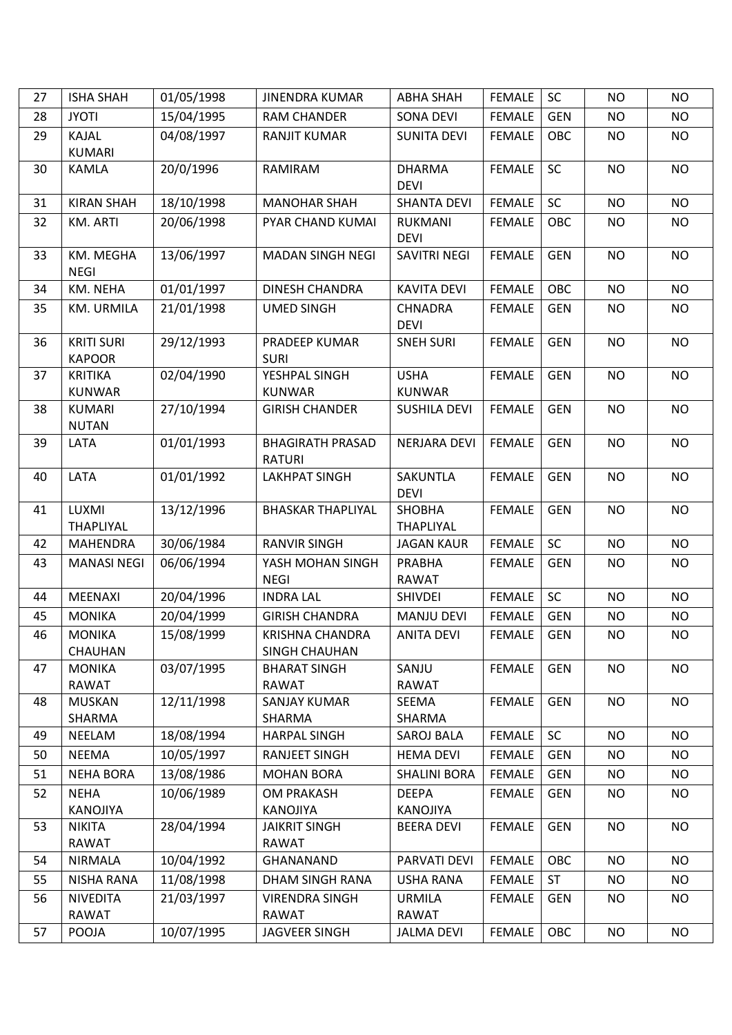| 27 | <b>ISHA SHAH</b>                   | 01/05/1998 | <b>JINENDRA KUMAR</b>                    | <b>ABHA SHAH</b>                  | <b>FEMALE</b> | <b>SC</b>  | <b>NO</b> | <b>NO</b> |
|----|------------------------------------|------------|------------------------------------------|-----------------------------------|---------------|------------|-----------|-----------|
| 28 | <b>JYOTI</b>                       | 15/04/1995 | <b>RAM CHANDER</b>                       | <b>SONA DEVI</b>                  | <b>FEMALE</b> | <b>GEN</b> | <b>NO</b> | <b>NO</b> |
| 29 | <b>KAJAL</b><br><b>KUMARI</b>      | 04/08/1997 | <b>RANJIT KUMAR</b>                      | <b>SUNITA DEVI</b>                | <b>FEMALE</b> | OBC        | <b>NO</b> | <b>NO</b> |
| 30 | KAMLA                              | 20/0/1996  | RAMIRAM                                  | <b>DHARMA</b><br><b>DEVI</b>      | <b>FEMALE</b> | SC         | <b>NO</b> | <b>NO</b> |
| 31 | <b>KIRAN SHAH</b>                  | 18/10/1998 | <b>MANOHAR SHAH</b>                      | <b>SHANTA DEVI</b>                | <b>FEMALE</b> | SC         | <b>NO</b> | <b>NO</b> |
| 32 | <b>KM. ARTI</b>                    | 20/06/1998 | PYAR CHAND KUMAI                         | RUKMANI<br><b>DEVI</b>            | <b>FEMALE</b> | OBC        | <b>NO</b> | NO        |
| 33 | KM. MEGHA<br><b>NEGI</b>           | 13/06/1997 | <b>MADAN SINGH NEGI</b>                  | SAVITRI NEGI                      | <b>FEMALE</b> | <b>GEN</b> | <b>NO</b> | <b>NO</b> |
| 34 | KM. NEHA                           | 01/01/1997 | <b>DINESH CHANDRA</b>                    | <b>KAVITA DEVI</b>                | <b>FEMALE</b> | OBC        | <b>NO</b> | <b>NO</b> |
| 35 | KM. URMILA                         | 21/01/1998 | <b>UMED SINGH</b>                        | <b>CHNADRA</b><br><b>DEVI</b>     | <b>FEMALE</b> | <b>GEN</b> | <b>NO</b> | NO        |
| 36 | <b>KRITI SURI</b><br><b>KAPOOR</b> | 29/12/1993 | PRADEEP KUMAR<br><b>SURI</b>             | <b>SNEH SURI</b>                  | <b>FEMALE</b> | <b>GEN</b> | <b>NO</b> | <b>NO</b> |
| 37 | <b>KRITIKA</b><br><b>KUNWAR</b>    | 02/04/1990 | YESHPAL SINGH<br><b>KUNWAR</b>           | <b>USHA</b><br><b>KUNWAR</b>      | <b>FEMALE</b> | <b>GEN</b> | <b>NO</b> | <b>NO</b> |
| 38 | <b>KUMARI</b><br><b>NUTAN</b>      | 27/10/1994 | <b>GIRISH CHANDER</b>                    | <b>SUSHILA DEVI</b>               | <b>FEMALE</b> | <b>GEN</b> | <b>NO</b> | <b>NO</b> |
| 39 | LATA                               | 01/01/1993 | <b>BHAGIRATH PRASAD</b><br><b>RATURI</b> | NERJARA DEVI                      | <b>FEMALE</b> | <b>GEN</b> | <b>NO</b> | <b>NO</b> |
| 40 | LATA                               | 01/01/1992 | LAKHPAT SINGH                            | SAKUNTLA<br><b>DEVI</b>           | <b>FEMALE</b> | <b>GEN</b> | <b>NO</b> | <b>NO</b> |
| 41 | LUXMI<br><b>THAPLIYAL</b>          | 13/12/1996 | <b>BHASKAR THAPLIYAL</b>                 | <b>SHOBHA</b><br><b>THAPLIYAL</b> | <b>FEMALE</b> | <b>GEN</b> | <b>NO</b> | <b>NO</b> |
| 42 | <b>MAHENDRA</b>                    | 30/06/1984 | <b>RANVIR SINGH</b>                      | <b>JAGAN KAUR</b>                 | <b>FEMALE</b> | SC         | <b>NO</b> | <b>NO</b> |
| 43 | <b>MANASI NEGI</b>                 | 06/06/1994 | YASH MOHAN SINGH<br><b>NEGI</b>          | <b>PRABHA</b><br>RAWAT            | <b>FEMALE</b> | <b>GEN</b> | NO        | <b>NO</b> |
| 44 | <b>MEENAXI</b>                     | 20/04/1996 | <b>INDRA LAL</b>                         | <b>SHIVDEI</b>                    | <b>FEMALE</b> | SC         | <b>NO</b> | <b>NO</b> |
| 45 | <b>MONIKA</b>                      | 20/04/1999 | <b>GIRISH CHANDRA</b>                    | <b>MANJU DEVI</b>                 | <b>FEMALE</b> | <b>GEN</b> | <b>NO</b> | <b>NO</b> |
| 46 | <b>MONIKA</b><br>CHAUHAN           | 15/08/1999 | KRISHNA CHANDRA<br>SINGH CHAUHAN         | <b>ANITA DEVI</b>                 | FEMALE        | GEN        | <b>NO</b> | NO.       |
| 47 | <b>MONIKA</b><br><b>RAWAT</b>      | 03/07/1995 | <b>BHARAT SINGH</b><br><b>RAWAT</b>      | SANJU<br><b>RAWAT</b>             | <b>FEMALE</b> | <b>GEN</b> | <b>NO</b> | <b>NO</b> |
| 48 | <b>MUSKAN</b><br>SHARMA            | 12/11/1998 | <b>SANJAY KUMAR</b><br>SHARMA            | SEEMA<br>SHARMA                   | <b>FEMALE</b> | <b>GEN</b> | <b>NO</b> | <b>NO</b> |
| 49 | NEELAM                             | 18/08/1994 | <b>HARPAL SINGH</b>                      | SAROJ BALA                        | <b>FEMALE</b> | SC         | <b>NO</b> | <b>NO</b> |
| 50 | <b>NEEMA</b>                       | 10/05/1997 | RANJEET SINGH                            | <b>HEMA DEVI</b>                  | <b>FEMALE</b> | <b>GEN</b> | NO        | <b>NO</b> |
| 51 | <b>NEHA BORA</b>                   | 13/08/1986 | <b>MOHAN BORA</b>                        | <b>SHALINI BORA</b>               | <b>FEMALE</b> | <b>GEN</b> | <b>NO</b> | NO        |
| 52 | <b>NEHA</b><br>KANOJIYA            | 10/06/1989 | <b>OM PRAKASH</b><br>KANOJIYA            | <b>DEEPA</b><br>KANOJIYA          | <b>FEMALE</b> | <b>GEN</b> | <b>NO</b> | <b>NO</b> |
| 53 | <b>NIKITA</b><br><b>RAWAT</b>      | 28/04/1994 | <b>JAIKRIT SINGH</b><br>RAWAT            | <b>BEERA DEVI</b>                 | <b>FEMALE</b> | <b>GEN</b> | <b>NO</b> | <b>NO</b> |
| 54 | NIRMALA                            | 10/04/1992 | GHANANAND                                | PARVATI DEVI                      | <b>FEMALE</b> | OBC        | <b>NO</b> | <b>NO</b> |
| 55 | NISHA RANA                         | 11/08/1998 | DHAM SINGH RANA                          | <b>USHA RANA</b>                  | <b>FEMALE</b> | <b>ST</b>  | NO        | NO.       |
| 56 | <b>NIVEDITA</b><br><b>RAWAT</b>    | 21/03/1997 | <b>VIRENDRA SINGH</b><br><b>RAWAT</b>    | <b>URMILA</b><br><b>RAWAT</b>     | <b>FEMALE</b> | <b>GEN</b> | <b>NO</b> | <b>NO</b> |
| 57 | POOJA                              | 10/07/1995 | <b>JAGVEER SINGH</b>                     | <b>JALMA DEVI</b>                 | <b>FEMALE</b> | OBC        | <b>NO</b> | NO        |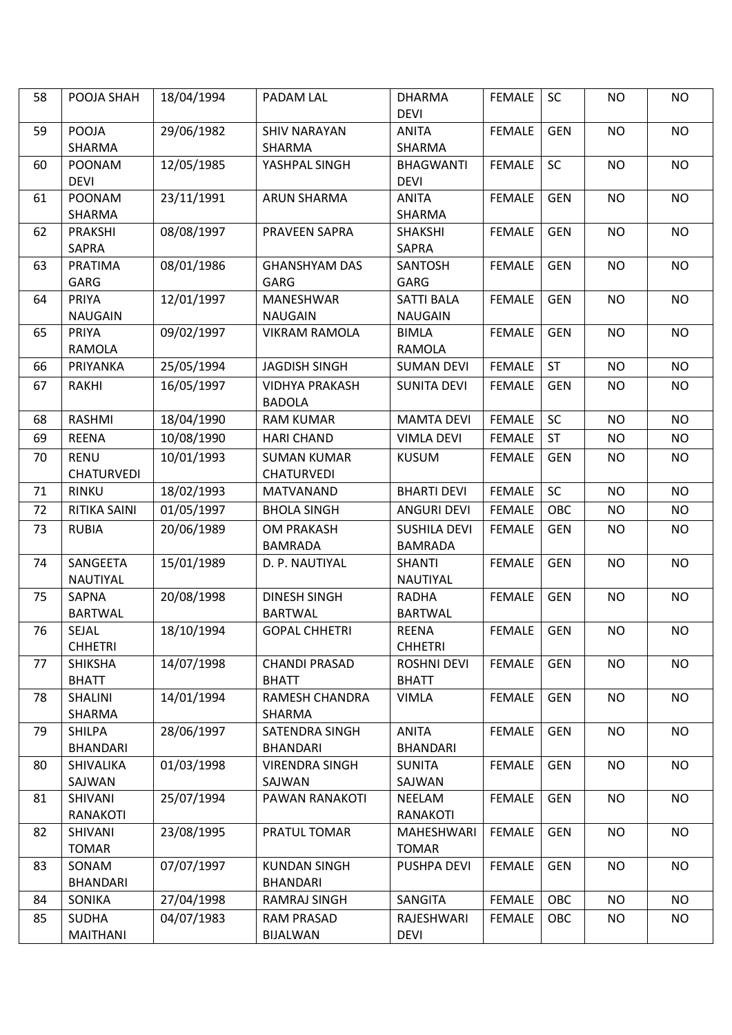| 58 | POOJA SHAH                       | 18/04/1994 | PADAM LAL                               | <b>DHARMA</b><br><b>DEVI</b>          | <b>FEMALE</b> | <b>SC</b>  | <b>NO</b> | <b>NO</b> |
|----|----------------------------------|------------|-----------------------------------------|---------------------------------------|---------------|------------|-----------|-----------|
| 59 | POOJA<br>SHARMA                  | 29/06/1982 | <b>SHIV NARAYAN</b><br>SHARMA           | <b>ANITA</b><br>SHARMA                | <b>FEMALE</b> | <b>GEN</b> | <b>NO</b> | <b>NO</b> |
| 60 | <b>POONAM</b><br><b>DEVI</b>     | 12/05/1985 | YASHPAL SINGH                           | <b>BHAGWANTI</b><br><b>DEVI</b>       | <b>FEMALE</b> | <b>SC</b>  | <b>NO</b> | <b>NO</b> |
| 61 | <b>POONAM</b><br>SHARMA          | 23/11/1991 | <b>ARUN SHARMA</b>                      | <b>ANITA</b><br>SHARMA                | <b>FEMALE</b> | <b>GEN</b> | <b>NO</b> | <b>NO</b> |
| 62 | <b>PRAKSHI</b><br><b>SAPRA</b>   | 08/08/1997 | PRAVEEN SAPRA                           | <b>SHAKSHI</b><br><b>SAPRA</b>        | <b>FEMALE</b> | <b>GEN</b> | <b>NO</b> | <b>NO</b> |
| 63 | <b>PRATIMA</b><br>GARG           | 08/01/1986 | <b>GHANSHYAM DAS</b><br>GARG            | <b>SANTOSH</b><br>GARG                | <b>FEMALE</b> | <b>GEN</b> | <b>NO</b> | <b>NO</b> |
| 64 | PRIYA<br><b>NAUGAIN</b>          | 12/01/1997 | MANESHWAR<br><b>NAUGAIN</b>             | <b>SATTI BALA</b><br><b>NAUGAIN</b>   | <b>FEMALE</b> | <b>GEN</b> | <b>NO</b> | <b>NO</b> |
| 65 | PRIYA<br>RAMOLA                  | 09/02/1997 | <b>VIKRAM RAMOLA</b>                    | <b>BIMLA</b><br><b>RAMOLA</b>         | <b>FEMALE</b> | <b>GEN</b> | <b>NO</b> | <b>NO</b> |
| 66 | PRIYANKA                         | 25/05/1994 | <b>JAGDISH SINGH</b>                    | <b>SUMAN DEVI</b>                     | <b>FEMALE</b> | <b>ST</b>  | <b>NO</b> | <b>NO</b> |
| 67 | <b>RAKHI</b>                     | 16/05/1997 | <b>VIDHYA PRAKASH</b><br><b>BADOLA</b>  | <b>SUNITA DEVI</b>                    | <b>FEMALE</b> | <b>GEN</b> | <b>NO</b> | <b>NO</b> |
| 68 | <b>RASHMI</b>                    | 18/04/1990 | <b>RAM KUMAR</b>                        | <b>MAMTA DEVI</b>                     | <b>FEMALE</b> | SC         | <b>NO</b> | <b>NO</b> |
| 69 | <b>REENA</b>                     | 10/08/1990 | <b>HARI CHAND</b>                       | <b>VIMLA DEVI</b>                     | <b>FEMALE</b> | ST         | <b>NO</b> | <b>NO</b> |
| 70 | <b>RENU</b><br><b>CHATURVEDI</b> | 10/01/1993 | <b>SUMAN KUMAR</b><br><b>CHATURVEDI</b> | <b>KUSUM</b>                          | <b>FEMALE</b> | <b>GEN</b> | <b>NO</b> | NO        |
| 71 | <b>RINKU</b>                     | 18/02/1993 | <b>MATVANAND</b>                        | <b>BHARTI DEVI</b>                    | <b>FEMALE</b> | SC         | <b>NO</b> | <b>NO</b> |
| 72 | RITIKA SAINI                     | 01/05/1997 | <b>BHOLA SINGH</b>                      | <b>ANGURI DEVI</b>                    | <b>FEMALE</b> | OBC        | <b>NO</b> | NO        |
| 73 | <b>RUBIA</b>                     | 20/06/1989 | <b>OM PRAKASH</b><br><b>BAMRADA</b>     | <b>SUSHILA DEVI</b><br><b>BAMRADA</b> | <b>FEMALE</b> | <b>GEN</b> | <b>NO</b> | NO        |
| 74 | SANGEETA<br>NAUTIYAL             | 15/01/1989 | D. P. NAUTIYAL                          | <b>SHANTI</b><br>NAUTIYAL             | <b>FEMALE</b> | <b>GEN</b> | <b>NO</b> | <b>NO</b> |
| 75 | <b>SAPNA</b><br><b>BARTWAL</b>   | 20/08/1998 | <b>DINESH SINGH</b><br><b>BARTWAL</b>   | <b>RADHA</b><br><b>BARTWAL</b>        | <b>FEMALE</b> | <b>GEN</b> | <b>NO</b> | <b>NO</b> |
| 76 | SEJAL<br><b>CHHETRI</b>          | 18/10/1994 | <b>GOPAL CHHETRI</b>                    | <b>REENA</b><br><b>CHHETRI</b>        | <b>FEMALE</b> | <b>GEN</b> | <b>NO</b> | <b>NO</b> |
| 77 | <b>SHIKSHA</b><br><b>BHATT</b>   | 14/07/1998 | <b>CHANDI PRASAD</b><br><b>BHATT</b>    | <b>ROSHNI DEVI</b><br><b>BHATT</b>    | <b>FEMALE</b> | <b>GEN</b> | <b>NO</b> | <b>NO</b> |
| 78 | SHALINI<br>SHARMA                | 14/01/1994 | RAMESH CHANDRA<br>SHARMA                | <b>VIMLA</b>                          | <b>FEMALE</b> | <b>GEN</b> | <b>NO</b> | <b>NO</b> |
| 79 | SHILPA<br><b>BHANDARI</b>        | 28/06/1997 | SATENDRA SINGH<br><b>BHANDARI</b>       | <b>ANITA</b><br><b>BHANDARI</b>       | <b>FEMALE</b> | <b>GEN</b> | <b>NO</b> | <b>NO</b> |
| 80 | SHIVALIKA<br>SAJWAN              | 01/03/1998 | <b>VIRENDRA SINGH</b><br>SAJWAN         | <b>SUNITA</b><br>SAJWAN               | <b>FEMALE</b> | <b>GEN</b> | <b>NO</b> | <b>NO</b> |
| 81 | SHIVANI<br>RANAKOTI              | 25/07/1994 | PAWAN RANAKOTI                          | NEELAM<br>RANAKOTI                    | <b>FEMALE</b> | <b>GEN</b> | <b>NO</b> | <b>NO</b> |
| 82 | SHIVANI<br><b>TOMAR</b>          | 23/08/1995 | PRATUL TOMAR                            | MAHESHWARI<br><b>TOMAR</b>            | <b>FEMALE</b> | <b>GEN</b> | <b>NO</b> | <b>NO</b> |
| 83 | SONAM<br><b>BHANDARI</b>         | 07/07/1997 | <b>KUNDAN SINGH</b><br><b>BHANDARI</b>  | PUSHPA DEVI                           | <b>FEMALE</b> | <b>GEN</b> | <b>NO</b> | <b>NO</b> |
| 84 | SONIKA                           | 27/04/1998 | RAMRAJ SINGH                            | SANGITA                               | <b>FEMALE</b> | OBC        | <b>NO</b> | <b>NO</b> |
| 85 | <b>SUDHA</b><br>MAITHANI         | 04/07/1983 | <b>RAM PRASAD</b><br>BIJALWAN           | RAJESHWARI<br><b>DEVI</b>             | <b>FEMALE</b> | OBC        | <b>NO</b> | <b>NO</b> |